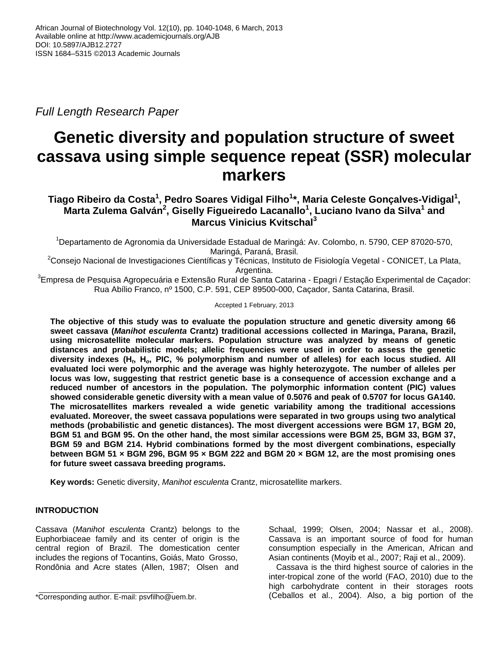*Full Length Research Paper*

# **Genetic diversity and population structure of sweet cassava using simple sequence repeat (SSR) molecular markers**

## **Tiago Ribeiro da Costa<sup>1</sup> , Pedro Soares Vidigal Filho<sup>1</sup> \*, Maria Celeste Gonçalves-Vidigal<sup>1</sup> , Marta Zulema Galván<sup>2</sup> , Giselly Figueiredo Lacanallo<sup>1</sup> , Luciano Ivano da Silva<sup>1</sup> and Marcus Vinicius Kvitschal<sup>3</sup>**

<sup>1</sup>Departamento de Agronomia da Universidade Estadual de Maringá: Av. Colombo, n. 5790, CEP 87020-570, Maringá, Paraná, Brasil.

 $2$ Consejo Nacional de Investigaciones Científicas y Técnicas, Instituto de Fisiología Vegetal - CONICET, La Plata, Argentina.

<sup>3</sup>Empresa de Pesquisa Agropecuária e Extensão Rural de Santa Catarina - Epagri / Estação Experimental de Caçador: Rua Abílio Franco, nº 1500, C.P. 591, CEP 89500-000, Caçador, Santa Catarina, Brasil.

Accepted 1 February, 2013

**The objective of this study was to evaluate the population structure and genetic diversity among 66 sweet cassava (***Manihot esculenta* **Crantz) traditional accessions collected in Maringa, Parana, Brazil, using microsatellite molecular markers. Population structure was analyzed by means of genetic distances and probabilistic models; allelic frequencies were used in order to assess the genetic**  diversity indexes (H<sub>t</sub>, H<sub>o</sub>, PIC, % polymorphism and number of alleles) for each locus studied. All **evaluated loci were polymorphic and the average was highly heterozygote. The number of alleles per locus was low, suggesting that restrict genetic base is a consequence of accession exchange and a reduced number of ancestors in the population. The polymorphic information content (PIC) values showed considerable genetic diversity with a mean value of 0.5076 and peak of 0.5707 for locus GA140. The microsatellites markers revealed a wide genetic variability among the traditional accessions evaluated. Moreover, the sweet cassava populations were separated in two groups using two analytical methods (probabilistic and genetic distances). The most divergent accessions were BGM 17, BGM 20, BGM 51 and BGM 95. On the other hand, the most similar accessions were BGM 25, BGM 33, BGM 37, BGM 59 and BGM 214. Hybrid combinations formed by the most divergent combinations, especially between BGM 51 × BGM 296, BGM 95 × BGM 222 and BGM 20 × BGM 12, are the most promising ones for future sweet cassava breeding programs.** 

**Key words:** Genetic diversity, *Manihot esculenta* Crantz, microsatellite markers.

## **INTRODUCTION**

Cassava (*Manihot esculenta* Crantz) belongs to the Euphorbiaceae family and its center of origin is the central region of Brazil. The domestication center includes the regions of Tocantins, Goiás, Mato Grosso, Rondônia and Acre states (Allen, 1987; Olsen and

Schaal, 1999; Olsen, 2004; Nassar et al., 2008). Cassava is an important source of food for human consumption especially in the American, African and Asian continents (Moyib et al., 2007; Raji et al., 2009).

Cassava is the third highest source of calories in the inter-tropical zone of the world (FAO, 2010) due to the high carbohydrate content in their storages roots (Ceballos et al., 2004). Also, a big portion of the

<sup>\*</sup>Corresponding author. E-mail: psvfilho@uem.br.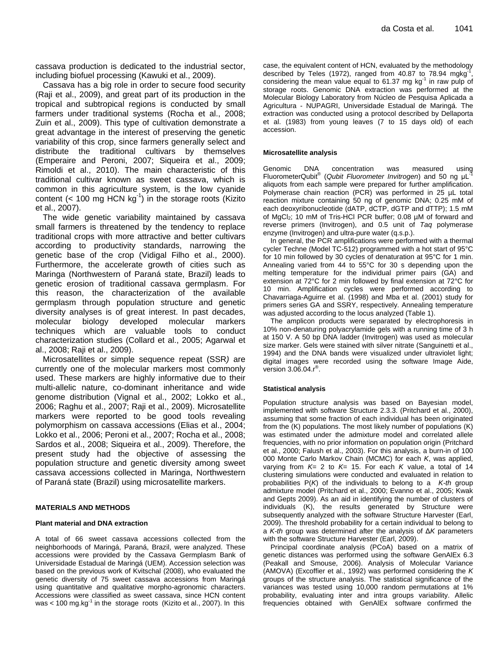cassava production is dedicated to the industrial sector, including biofuel processing (Kawuki et al., 2009).

Cassava has a big role in order to secure food security (Raji et al., 2009), and great part of its production in the tropical and subtropical regions is conducted by small farmers under traditional systems (Rocha et al., 2008; Zuin et al., 2009). This type of cultivation demonstrate a great advantage in the interest of preserving the genetic variability of this crop, since farmers generally select and distribute the traditional cultivars by themselves (Emperaire and Peroni, 2007; Siqueira et al., 2009; Rimoldi et al., 2010). The main characteristic of this traditional cultivar known as sweet cassava, which is common in this agriculture system, is the low cyanide content (< 100 mg  $HCN$  kg<sup>-1</sup>) in the storage roots (Kizito et al., 2007).

The wide genetic variability maintained by cassava small farmers is threatened by the tendency to replace traditional crops with more attractive and better cultivars according to productivity standards, narrowing the genetic base of the crop (Vidigal Filho et al., 2000). Furthermore, the accelerate growth of cities such as Maringa (Northwestern of Paraná state, Brazil) leads to genetic erosion of traditional cassava germplasm. For this reason, the characterization of the available germplasm through population structure and genetic diversity analyses is of great interest. In past decades, molecular biology developed molecular markers techniques which are valuable tools to conduct characterization studies (Collard et al., 2005; Agarwal et al., 2008; Raji et al., 2009).

Microsatellites or simple sequence repeat (SSR*)* are currently one of the molecular markers most commonly used. These markers are highly informative due to their multi-allelic nature, co-dominant inheritance and wide genome distribution (Vignal et al., 2002; Lokko et al., 2006; Raghu et al., 2007; Raji et al., 2009). Microsatellite markers were reported to be good tools revealing polymorphism on cassava accessions (Elias et al., 2004; Lokko et al., 2006; Peroni et al., 2007; Rocha et al., 2008; Sardos et al., 2008; Siqueira et al., 2009). Therefore, the present study had the objective of assessing the population structure and genetic diversity among sweet cassava accessions collected in Maringa, Northwestern of Paraná state (Brazil) using microsatellite markers.

#### **MATERIALS AND METHODS**

#### **Plant material and DNA extraction**

A total of 66 sweet cassava accessions collected from the neighborhoods of Maringá, Paraná, Brazil, were analyzed. These accessions were provided by the Cassava Germplasm Bank of Universidade Estadual de Maringá (UEM). Accession selection was based on the previous work of Kvitschal (2008), who evaluated the genetic diversity of 75 sweet cassava accessions from Maringá using quantitative and qualitative morpho-agronomic characters. Accessions were classified as sweet cassava, since HCN content was < 100 mg.kg $^{-1}$  in the storage roots (Kizito et al., 2007). In this case, the equivalent content of HCN, evaluated by the methodology described by Teles (1972), ranged from 40.87 to 78.94 mgkg , considering the mean value equal to 61.37 mg  $kg<sup>-1</sup>$  in raw pulp of storage roots. Genomic DNA extraction was performed at the Molecular Biology Laboratory from Núcleo de Pesquisa Aplicada a Agricultura - NUPAGRI, Universidade Estadual de Maringá. The extraction was conducted using a protocol described by Dellaporta et al. (1983) from young leaves (7 to 15 days old) of each accession.

#### **Microsatellite analysis**

Genomic DNA concentration was measured using FluorometerQubit<sup>®</sup> (Qubit Fluorometer Invitrogen) and 50 ng μL<sup>-1</sup> aliquots from each sample were prepared for further amplification. Polymerase chain reaction (PCR) was performed in 25 µL total reaction mixture containing 50 ng of genomic DNA; 0.25 mM of each deoxyribonucleotide (dATP, dCTP, dGTP and dTTP); 1.5 mM of MgCl<sub>2</sub>; 10 mM of Tris-HCl PCR buffer; 0.08 µM of forward and reverse primers (Invitrogen), and 0.5 unit of *Taq* polymerase enzyme (Invitrogen) and ultra-pure water (q.s.p.).

In general, the PCR amplifications were performed with a thermal cycler Techne (Model TC-512) programmed with a hot start of 95°C for 10 min followed by 30 cycles of denaturation at 95°C for 1 min. Annealing varied from 44 to 55°C for 30 s depending upon the melting temperature for the individual primer pairs (GA) and extension at 72°C for 2 min followed by final extension at 72°C for 10 min. Amplification cycles were performed according to Chavarriaga-Aguirre et al. (1998) and Mba et al. (2001) study for primers series GA and SSRY, respectively. Annealing temperature was adjusted according to the locus analyzed (Table 1).

The amplicon products were separated by electrophoresis in 10% non-denaturing polyacrylamide gels with a running time of 3 h at 150 V. A 50 bp DNA ladder (Invitrogen) was used as molecular size marker. Gels were stained with silver nitrate (Sanguinetti et al., 1994) and the DNA bands were visualized under ultraviolet light; digital images were recorded using the software Image Aide, version  $3.06.04.r^{\circledcirc}$ .

#### **Statistical analysis**

Population structure analysis was based on Bayesian model, implemented with software Structure 2.3.3. (Pritchard et al., 2000), assuming that some fraction of each individual has been originated from the (K) populations. The most likely number of populations (K) was estimated under the admixture model and correlated allele frequencies, with no prior information on population origin (Pritchard et al., 2000; Falush et al., 2003). For this analysis, a burn-in of 100 000 Monte Carlo Markov Chain (MCMC) for each *K*, was applied, varying from *K*= 2 to *K*= 15. For each *K* value, a total of 14 clustering simulations were conducted and evaluated in relation to probabilities P(*K*) of the individuals to belong to a *K-th* group admixture model (Pritchard et al., 2000; Evanno et al., 2005; Kwak and Gepts 2009). As an aid in identifying the number of clusters of individuals (K), the results generated by Structure were subsequently analyzed with the software Structure Harvester (Earl, 2009). The threshold probability for a certain individual to belong to a *K-th* group was determined after the analysis of Δ*K* parameters with the software Structure Harvester (Earl, 2009).

Principal coordinate analysis (PCoA) based on a matrix of genetic distances was performed using the software GenAlEx 6.3 (Peakall and Smouse, 2006). Analysis of Molecular Variance (AMOVA) (Excoffier et al., 1992) was performed considering the *K*  groups of the structure analysis. The statistical significance of the variances was tested using 10,000 random permutations at 1% probability, evaluating inter and intra groups variability. Allelic frequencies obtained with GenAlEx software confirmed the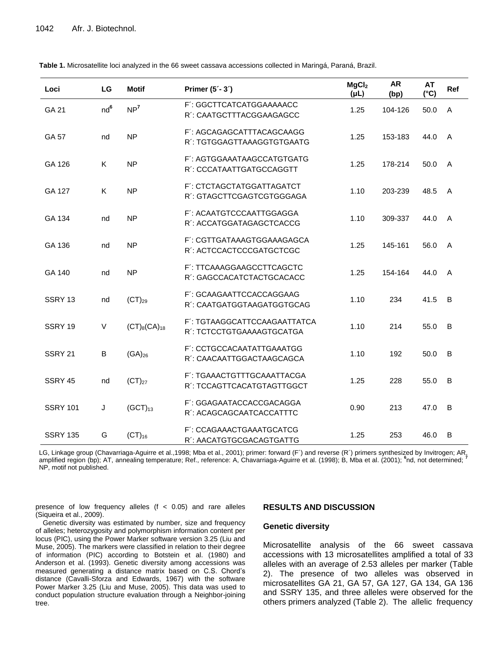| Loci               | LG              | <b>Motif</b>        | Primer $(5 - 3)$                                          | MgCl <sub>2</sub><br>(PL) | <b>AR</b><br>(bp) | <b>AT</b><br>$(^{\circ}C)$ | Ref          |
|--------------------|-----------------|---------------------|-----------------------------------------------------------|---------------------------|-------------------|----------------------------|--------------|
| GA 21              | nd <sup>6</sup> | NP <sup>7</sup>     | F': GGCTTCATCATGGAAAAACC<br>R': CAATGCTTTACGGAAGAGCC      | 1.25                      | 104-126           | 50.0                       | A            |
| GA 57              | nd              | <b>NP</b>           | F': AGCAGAGCATTTACAGCAAGG<br>R': TGTGGAGTTAAAGGTGTGAATG   | 1.25                      | 153-183           | 44.0                       | $\mathsf{A}$ |
| GA 126             | Κ               | <b>NP</b>           | F': AGTGGAAATAAGCCATGTGATG<br>R': CCCATAATTGATGCCAGGTT    | 1.25                      | 178-214           | 50.0                       | $\mathsf{A}$ |
| GA 127             | Κ               | <b>NP</b>           | F': CTCTAGCTATGGATTAGATCT<br>R': GTAGCTTCGAGTCGTGGGAGA    | 1.10                      | 203-239           | 48.5                       | A            |
| GA 134             | nd              | <b>NP</b>           | F': ACAATGTCCCAATTGGAGGA<br>R': ACCATGGATAGAGCTCACCG      | 1.10                      | 309-337           | 44.0                       | $\mathsf{A}$ |
| GA 136             | nd              | <b>NP</b>           | F': CGTTGATAAAGTGGAAAGAGCA<br>R': ACTCCACTCCCGATGCTCGC    | 1.25                      | 145-161           | 56.0                       | $\mathsf{A}$ |
| GA 140             | nd              | <b>NP</b>           | F': TTCAAAGGAAGCCTTCAGCTC<br>R': GAGCCACATCTACTGCACACC    | 1.25                      | 154-164           | 44.0                       | A            |
| SSRY <sub>13</sub> | nd              | $(CT)_{29}$         | F': GCAAGAATTCCACCAGGAAG<br>R': CAATGATGGTAAGATGGTGCAG    | 1.10                      | 234               | 41.5                       | B            |
| SSRY 19            | V               | $(CT)_{8}(CA)_{18}$ | F': TGTAAGGCATTCCAAGAATTATCA<br>R': TCTCCTGTGAAAAGTGCATGA | 1.10                      | 214               | 55.0                       | B            |
| SSRY 21            | B               | $(GA)_{26}$         | F': CCTGCCACAATATTGAAATGG<br>R': CAACAATTGGACTAAGCAGCA    | 1.10                      | 192               | 50.0                       | B            |
| SSRY 45            | nd              | $(CT)_{27}$         | F': TGAAACTGTTTGCAAATTACGA<br>R': TCCAGTTCACATGTAGTTGGCT  | 1.25                      | 228               | 55.0                       | B            |
| <b>SSRY 101</b>    | J               | $(GCT)_{13}$        | F': GGAGAATACCACCGACAGGA<br>R': ACAGCAGCAATCACCATTTC      | 0.90                      | 213               | 47.0                       | B            |
| <b>SSRY 135</b>    | G               | $(CT)_{16}$         | F': CCAGAAACTGAAATGCATCG<br>R': AACATGTGCGACAGTGATTG      | 1.25                      | 253               | 46.0                       | B            |

**Table 1.** Microsatellite loci analyzed in the 66 sweet cassava accessions collected in Maringá, Paraná, Brazil.

LG, Linkage group (Chavarriaga-Aguirre et al.,1998; Mba et al., 2001); primer: forward (F´) and reverse (R´) primers synthesized by Invitrogen; AR, amplified region (bp); AT, annealing temperature; Ref., reference: A, Chavarriaga-Aguirre et al. (1998); B, Mba et al. (2001); <sup>6</sup>nd, not determined; <sup>7</sup> NP, motif not published.

presence of low frequency alleles (f < 0.05) and rare alleles (Siqueira et al., 2009).

#### **RESULTS AND DISCUSSION**

## **Genetic diversity**

Genetic diversity was estimated by number, size and frequency of alleles; heterozygosity and polymorphism information content per locus (PIC), using the Power Marker software version 3.25 (Liu and Muse, 2005). The markers were classified in relation to their degree of information (PIC) according to Botstein et al. (1980) and Anderson et al. (1993). Genetic diversity among accessions was measured generating a distance matrix based on C.S. Chord's distance (Cavalli-Sforza and Edwards, 1967) with the software Power Marker 3.25 (Liu and Muse, 2005). This data was used to conduct population structure evaluation through a Neighbor-joining tree.

Microsatellite analysis of the 66 sweet cassava accessions with 13 microsatellites amplified a total of 33 alleles with an average of 2.53 alleles per marker (Table 2). The presence of two alleles was observed in microsatellites GA 21, GA 57, GA 127, GA 134, GA 136 and SSRY 135, and three alleles were observed for the others primers analyzed (Table 2). The allelic frequency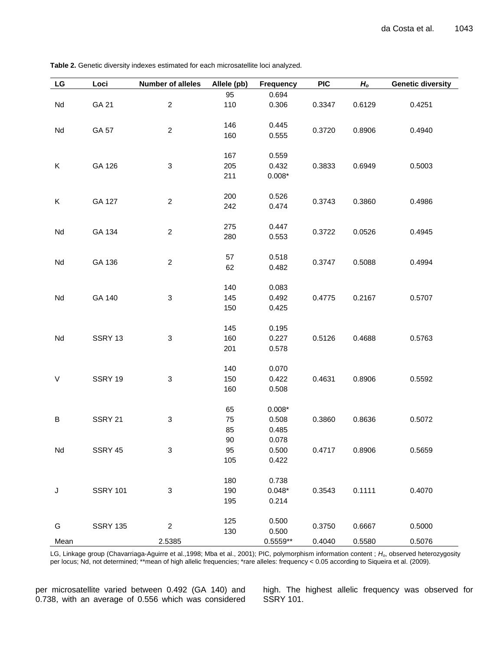| <b>Table 2.</b> Genetic diversity indexes estimated for each microsatellite loci analyzed. |  |  |  |
|--------------------------------------------------------------------------------------------|--|--|--|
|--------------------------------------------------------------------------------------------|--|--|--|

| LG   | Loci            | <b>Number of alleles</b>  | Allele (pb) | <b>Frequency</b> | <b>PIC</b> | $H_o$  | <b>Genetic diversity</b> |
|------|-----------------|---------------------------|-------------|------------------|------------|--------|--------------------------|
|      |                 |                           | 95          | 0.694            |            |        |                          |
| Nd   | GA 21           | $\overline{c}$            | 110         | 0.306            | 0.3347     | 0.6129 | 0.4251                   |
|      |                 |                           |             |                  |            |        |                          |
| Nd   | GA 57           | $\overline{2}$            | 146         | 0.445            | 0.3720     | 0.8906 | 0.4940                   |
|      |                 |                           | 160         | 0.555            |            |        |                          |
|      |                 |                           |             |                  |            |        |                          |
|      |                 |                           | 167         | 0.559            |            |        |                          |
| Κ    | GA 126          | $\ensuremath{\mathsf{3}}$ | 205         | 0.432            | 0.3833     | 0.6949 | 0.5003                   |
|      |                 |                           | 211         | $0.008*$         |            |        |                          |
|      |                 |                           | 200         | 0.526            |            |        |                          |
| Κ    | GA 127          | $\overline{a}$            | 242         | 0.474            | 0.3743     | 0.3860 | 0.4986                   |
|      |                 |                           |             |                  |            |        |                          |
|      |                 |                           | 275         | 0.447            |            |        |                          |
| Nd   | GA 134          | $\overline{c}$            | 280         | 0.553            | 0.3722     | 0.0526 | 0.4945                   |
|      |                 |                           |             |                  |            |        |                          |
|      |                 |                           | 57          | 0.518            |            |        |                          |
| Nd   | GA 136          | $\overline{2}$            | 62          | 0.482            | 0.3747     | 0.5088 | 0.4994                   |
|      |                 |                           |             |                  |            |        |                          |
|      |                 |                           | 140         | 0.083            |            |        |                          |
| Nd   | GA 140          | $\ensuremath{\mathsf{3}}$ | 145         | 0.492            | 0.4775     | 0.2167 | 0.5707                   |
|      |                 |                           | 150         | 0.425            |            |        |                          |
|      |                 |                           |             |                  |            |        |                          |
|      |                 |                           | 145         | 0.195            |            |        |                          |
| Nd   | SSRY 13         | $\ensuremath{\mathsf{3}}$ | 160         | 0.227            | 0.5126     | 0.4688 | 0.5763                   |
|      |                 |                           | 201         | 0.578            |            |        |                          |
|      |                 |                           |             |                  |            |        |                          |
|      |                 |                           | 140         | 0.070            |            |        |                          |
| V    | SSRY 19         | $\ensuremath{\mathsf{3}}$ | 150         | 0.422            | 0.4631     | 0.8906 | 0.5592                   |
|      |                 |                           | 160         | 0.508            |            |        |                          |
|      |                 |                           | 65          | $0.008*$         |            |        |                          |
| B    | SSRY 21         | 3                         | 75          | 0.508            | 0.3860     | 0.8636 | 0.5072                   |
|      |                 |                           | 85          | 0.485            |            |        |                          |
|      |                 |                           | 90          | 0.078            |            |        |                          |
| Nd   | SSRY 45         | $\ensuremath{\mathsf{3}}$ | 95          | 0.500            | 0.4717     | 0.8906 | 0.5659                   |
|      |                 |                           | 105         | 0.422            |            |        |                          |
|      |                 |                           |             |                  |            |        |                          |
|      |                 |                           | 180         | 0.738            |            |        |                          |
| J    | <b>SSRY 101</b> | $\ensuremath{\mathsf{3}}$ | 190         | $0.048*$         | 0.3543     | 0.1111 | 0.4070                   |
|      |                 |                           | 195         | 0.214            |            |        |                          |
|      |                 |                           |             |                  |            |        |                          |
| G    | <b>SSRY 135</b> | $\overline{c}$            | 125         | 0.500            | 0.3750     | 0.6667 | 0.5000                   |
|      |                 |                           | 130         | 0.500            |            |        |                          |
| Mean |                 | 2.5385                    |             | $0.5559**$       | 0.4040     | 0.5580 | 0.5076                   |

LG, Linkage group (Chavarriaga-Aguirre et al.,1998; Mba et al., 2001); PIC, polymorphism information content ; *Ho*, observed heterozygosity per locus; Nd, not determined; \*\*mean of high allelic frequencies; \*rare alleles: frequency < 0.05 according to Siqueira et al. (2009).

per microsatellite varied between 0.492 (GA 140) and 0.738, with an average of 0.556 which was considered high. The highest allelic frequency was observed for SSRY 101.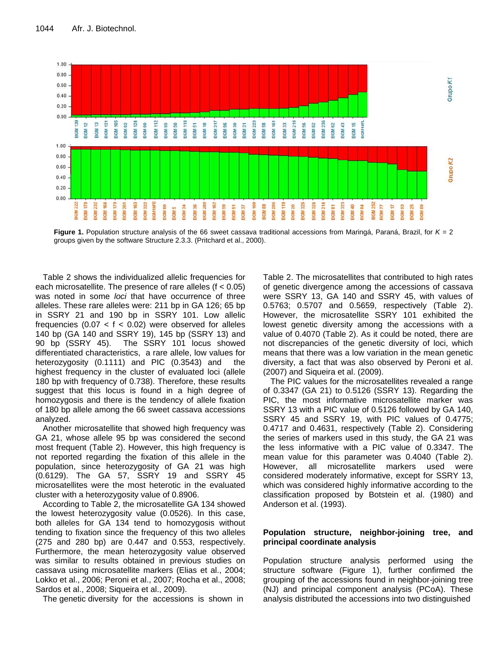

**Figure 1.** Population structure analysis of the 66 sweet cassava traditional accessions from Maringá, Paraná, Brazil, for *K* = 2 groups given by the software Structure 2.3.3. (Pritchard et al., 2000).

Table 2 shows the individualized allelic frequencies for each microsatellite. The presence of rare alleles (f < 0.05) was noted in some *loci* that have occurrence of three alleles. These rare alleles were: 211 bp in GA 126; 65 bp in SSRY 21 and 190 bp in SSRY 101. Low allelic frequencies  $(0.07 < f < 0.02)$  were observed for alleles 140 bp (GA 140 and SSRY 19), 145 bp (SSRY 13) and 90 bp (SSRY 45). The SSRY 101 locus showed differentiated characteristics, a rare allele, low values for heterozygosity (0.1111) and PIC (0.3543) and the highest frequency in the cluster of evaluated loci (allele 180 bp with frequency of 0.738). Therefore, these results suggest that this locus is found in a high degree of homozygosis and there is the tendency of allele fixation of 180 bp allele among the 66 sweet cassava accessions analyzed.

Another microsatellite that showed high frequency was GA 21, whose allele 95 bp was considered the second most frequent (Table 2). However, this high frequency is not reported regarding the fixation of this allele in the population, since heterozygosity of GA 21 was high (0.6129). The GA 57, SSRY 19 and SSRY 45 microsatellites were the most heterotic in the evaluated cluster with a heterozygosity value of 0.8906.

According to Table 2, the microsatellite GA 134 showed the lowest heterozygosity value (0.0526). In this case, both alleles for GA 134 tend to homozygosis without tending to fixation since the frequency of this two alleles (275 and 280 bp) are 0.447 and 0.553, respectively. Furthermore, the mean heterozygosity value observed was similar to results obtained in previous studies on cassava using microsatellite markers (Elias et al., 2004; Lokko et al., 2006; Peroni et al., 2007; Rocha et al., 2008; Sardos et al., 2008; Siqueira et al., 2009).

The genetic diversity for the accessions is shown in

Table 2. The microsatellites that contributed to high rates of genetic divergence among the accessions of cassava were SSRY 13, GA 140 and SSRY 45, with values of 0.5763; 0.5707 and 0.5659, respectively (Table 2). However, the microsatellite SSRY 101 exhibited the lowest genetic diversity among the accessions with a value of 0.4070 (Table 2). As it could be noted, there are not discrepancies of the genetic diversity of loci, which means that there was a low variation in the mean genetic diversity, a fact that was also observed by Peroni et al. (2007) and Siqueira et al. (2009).

The PIC values for the microsatellites revealed a range of 0.3347 (GA 21) to 0.5126 (SSRY 13). Regarding the PIC, the most informative microsatellite marker was SSRY 13 with a PIC value of 0.5126 followed by GA 140, SSRY 45 and SSRY 19, with PIC values of 0.4775; 0.4717 and 0.4631, respectively (Table 2). Considering the series of markers used in this study, the GA 21 was the less informative with a PIC value of 0.3347. The mean value for this parameter was 0.4040 (Table 2). However, all microsatellite markers used were considered moderately informative, except for SSRY 13, which was considered highly informative according to the classification proposed by Botstein et al. (1980) and Anderson et al. (1993).

### **Population structure, neighbor-joining tree, and principal coordinate analysis**

Population structure analysis performed using the structure software (Figure 1), further confirmed the grouping of the accessions found in neighbor-joining tree (NJ) and principal component analysis (PCoA). These analysis distributed the accessions into two distinguished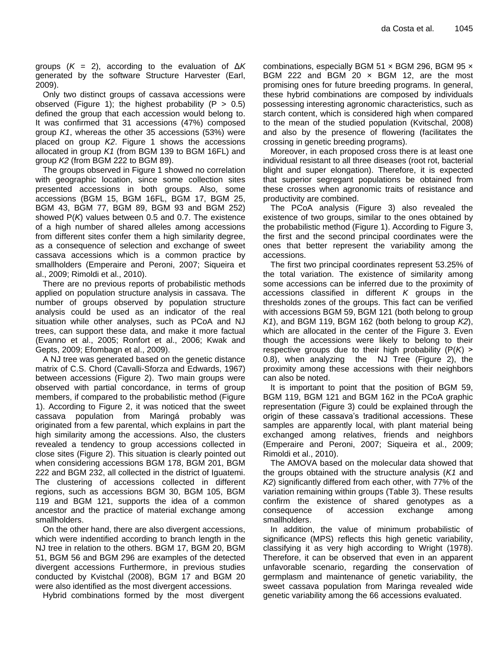groups (*K* = 2), according to the evaluation of Δ*K* generated by the software Structure Harvester (Earl, 2009).

Only two distinct groups of cassava accessions were observed (Figure 1); the highest probability ( $P > 0.5$ ) defined the group that each accession would belong to. It was confirmed that 31 accessions (47%) composed group *K1*, whereas the other 35 accessions (53%) were placed on group *K2*. Figure 1 shows the accessions allocated in group *K1* (from BGM 139 to BGM 16FL) and group *K2* (from BGM 222 to BGM 89).

The groups observed in Figure 1 showed no correlation with geographic location, since some collection sites presented accessions in both groups. Also, some accessions (BGM 15, BGM 16FL, BGM 17, BGM 25, BGM 43, BGM 77, BGM 89, BGM 93 and BGM 252) showed P(*K*) values between 0.5 and 0.7. The existence of a high number of shared alleles among accessions from different sites confer them a high similarity degree, as a consequence of selection and exchange of sweet cassava accessions which is a common practice by smallholders (Emperaire and Peroni, 2007; Siqueira et al., 2009; Rimoldi et al., 2010).

There are no previous reports of probabilistic methods applied on population structure analysis in cassava. The number of groups observed by population structure analysis could be used as an indicator of the real situation while other analyses, such as PCoA and NJ trees, can support these data, and make it more factual (Evanno et al., 2005; Ronfort et al., 2006; Kwak and Gepts, 2009; Efombagn et al., 2009).

A NJ tree was generated based on the genetic distance matrix of C.S. Chord (Cavalli-Sforza and Edwards, 1967) between accessions (Figure 2). Two main groups were observed with partial concordance, in terms of group members, if compared to the probabilistic method (Figure 1). According to Figure 2, it was noticed that the sweet cassava population from Maringá probably was originated from a few parental, which explains in part the high similarity among the accessions. Also, the clusters revealed a tendency to group accessions collected in close sites (Figure 2). This situation is clearly pointed out when considering accessions BGM 178, BGM 201, BGM 222 and BGM 232, all collected in the district of Iguatemi. The clustering of accessions collected in different regions, such as accessions BGM 30, BGM 105, BGM 119 and BGM 121, supports the idea of a common ancestor and the practice of material exchange among smallholders.

On the other hand, there are also divergent accessions, which were indentified according to branch length in the NJ tree in relation to the others. BGM 17, BGM 20, BGM 51, BGM 56 and BGM 296 are examples of the detected divergent accessions Furthermore, in previous studies conducted by Kvistchal (2008), BGM 17 and BGM 20 were also identified as the most divergent accessions.

Hybrid combinations formed by the most divergent

combinations, especially BGM 51 x BGM 296, BGM 95 x BGM 222 and BGM 20  $\times$  BGM 12, are the most promising ones for future breeding programs. In general, these hybrid combinations are composed by individuals possessing interesting agronomic characteristics, such as starch content, which is considered high when compared to the mean of the studied population (Kvitschal, 2008) and also by the presence of flowering (facilitates the crossing in genetic breeding programs).

Moreover, in each proposed cross there is at least one individual resistant to all three diseases (root rot, bacterial blight and super elongation). Therefore, it is expected that superior segregant populations be obtained from these crosses when agronomic traits of resistance and productivity are combined.

The PCoA analysis (Figure 3) also revealed the existence of two groups, similar to the ones obtained by the probabilistic method (Figure 1). According to Figure 3, the first and the second principal coordinates were the ones that better represent the variability among the accessions.

The first two principal coordinates represent 53.25% of the total variation. The existence of similarity among some accessions can be inferred due to the proximity of accessions classified in different *K* groups in the thresholds zones of the groups. This fact can be verified with accessions BGM 59, BGM 121 (both belong to group *K1*), and BGM 119, BGM 162 (both belong to group *K2*), which are allocated in the center of the Figure 3. Even though the accessions were likely to belong to their respective groups due to their high probability (P(*K*) ˃ 0.8), when analyzing the NJ Tree (Figure 2), the proximity among these accessions with their neighbors can also be noted.

It is important to point that the position of BGM 59, BGM 119, BGM 121 and BGM 162 in the PCoA graphic representation (Figure 3) could be explained through the origin of these cassava's traditional accessions. These samples are apparently local, with plant material being exchanged among relatives, friends and neighbors (Emperaire and Peroni, 2007; Siqueira et al., 2009; Rimoldi et al., 2010).

The AMOVA based on the molecular data showed that the groups obtained with the structure analysis (*K1* and *K2*) significantly differed from each other, with 77% of the variation remaining within groups (Table 3). These results confirm the existence of shared genotypes as a consequence of accession exchange among smallholders.

In addition, the value of minimum probabilistic of significance (MPS) reflects this high genetic variability, classifying it as very high according to Wright (1978). Therefore, it can be observed that even in an apparent unfavorable scenario, regarding the conservation of germplasm and maintenance of genetic variability, the sweet cassava population from Maringa revealed wide genetic variability among the 66 accessions evaluated.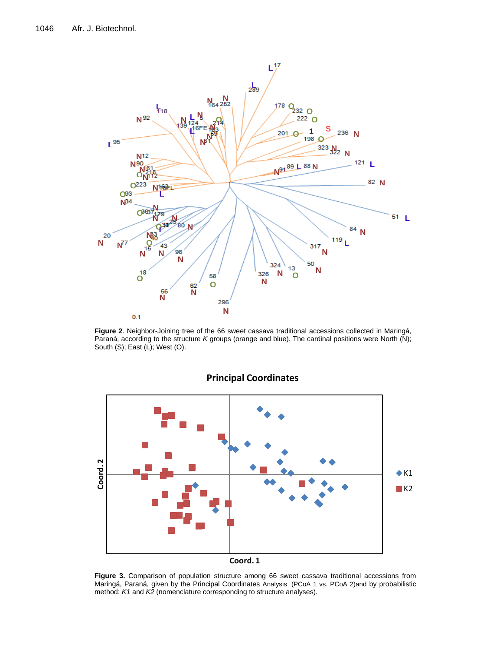

**Figure 2**. Neighbor-Joining tree of the 66 sweet cassava traditional accessions collected in Maringá, Paraná, according to the structure *K* groups (orange and blue). The cardinal positions were North (N); South (S); East (L); West (O).



## **Principal Coordinates**

**Figure 3.** Comparison of population structure among 66 sweet cassava traditional accessions from Maringá, Paraná, given by the Principal Coordinates Analysis (PCoA 1 vs. PCoA 2)and by probabilistic method: *K1* and *K2* (nomenclature corresponding to structure analyses).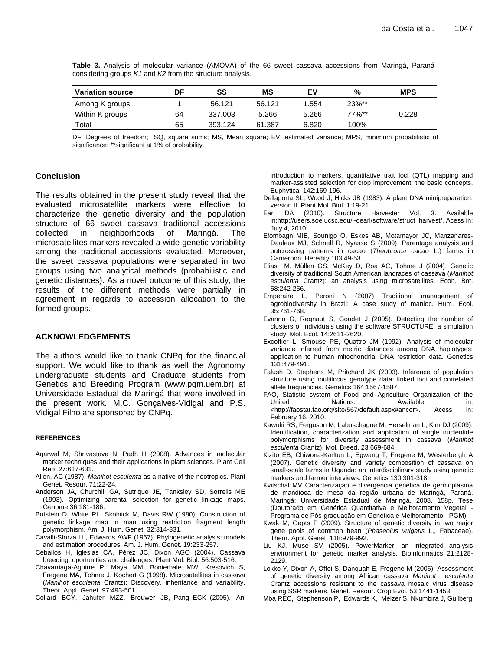| <b>Variation source</b> | DF | SS      | МS     | EV    | %        | <b>MPS</b> |
|-------------------------|----|---------|--------|-------|----------|------------|
| Among K groups          |    | 56.121  | 56.121 | 1.554 | $23\%**$ |            |
| Within K groups         | 64 | 337.003 | 5.266  | 5.266 | $77\%**$ | 0.228      |
| Total                   | 65 | 393.124 | 61.387 | 6.820 | 100%     |            |

**Table 3.** Analysis of molecular variance (AMOVA) of the 66 sweet cassava accessions from Maringá, Paraná considering groups *K1* and *K2* from the structure analysis.

DF, Degrees of freedom; SQ, square sums; MS, Mean square; EV, estimated variance; MPS, minimum probabilistic of significance; \*\*significant at 1% of probability.

#### **Conclusion**

The results obtained in the present study reveal that the evaluated microsatellite markers were effective to characterize the genetic diversity and the population structure of 66 sweet cassava traditional accessions collected in neighborhoods of Maringá. The microsatellites markers revealed a wide genetic variability among the traditional accessions evaluated. Moreover, the sweet cassava populations were separated in two groups using two analytical methods (probabilistic and genetic distances). As a novel outcome of this study, the results of the different methods were partially in agreement in regards to accession allocation to the formed groups.

#### **ACKNOWLEDGEMENTS**

The authors would like to thank CNPq for the financial support. We would like to thank as well the Agronomy undergraduate students and Graduate students from Genetics and Breeding Program [\(www.pgm.uem.br\)](http://www.pgm.uem.br/) at Universidade Estadual de Maringá that were involved in the present work. M.C. Gonçalves-Vidigal and P.S. Vidigal Filho are sponsored by CNPq.

#### **REFERENCES**

- Agarwal M, Shrivastava N, Padh H (2008). Advances in molecular marker techniques and their applications in plant sciences. Plant Cell Rep. 27:617-631.
- Allen, AC (1987). *Manihot esculenta* as a native of the neotropics. Plant Genet. Resour. 71:22-24.
- Anderson JA, Churchill GA, Sutrique JE, Tanksley SD, Sorrells ME (1993). Optimizing parental selection for genetic linkage maps. Genome 36:181-186.
- Botstein D, White RL, Skolnick M, Davis RW (1980). Construction of genetic linkage map in man using restriction fragment length polymorphism. Am. J. Hum. Genet. 32:314-331.
- Cavalli-Sforza LL, Edwards AWF (1967). Phylogenetic analysis: models and estimation procedures. Am. J. Hum. Genet. 19:233-257.
- Ceballos H, Iglesias CA, Pérez JC, Dixon AGO (2004). Cassava breeding: oportunities and challenges. Plant Mol. Biol. 56:503-516.
- Chavarriaga-Aguirre P, Maya MM, Bonierbale MW, Kresovich S, Fregene MA, Tohme J, Kochert G (1998). Microsatellites in cassava (*Manihot esculenta* Crantz): Discovery, inheritance and variability. Theor. Appl. Genet. 97:493-501.
- Collard BCY, Jahufer MZZ, Brouwer JB, Pang ECK (2005). An

introduction to markers, quantitative trait loci (QTL) mapping and marker-assisted selection for crop improvement: the basic concepts. Euphytica 142:169-196.

- Dellaporta SL, Wood J, Hicks JB (1983). A plant DNA minipreparation: version II. Plant Mol. Biol. 1:19-21.
- Earl DA (2010). Structure Harvester Vol. 3. Available in:http://users.soe.ucsc.edu/~dearl/software/struct\_harvest/. Acess in: July 4, 2010.
- Efombagn MIB, Sounigo O, Eskes AB, Motamayor JC, Manzanares-Dauleux MJ, Schnell R, Nyasse S (2009). Parentage analysis and outcrossing patterns in cacao (*Theobroma cacao* L.) farms in Cameroon. Heredity 103:49-53.
- Elias M, Müllen GS, McKey D, Roa AC, Tohme J (2004). Genetic diversity of traditional South American landraces of cassava (*Manihot esculenta* Crantz): an analysis using microsatellites. Econ. Bot. 58:242-256.
- Emperaire L, Peroni N (2007) Traditional management of agrobiodiversity in Brazil: A case study of manioc. Hum. Ecol. 35:761-768.
- Evanno G, Regnaut S, Goudet J (2005). Detecting the number of clusters of individuals using the software STRUCTURE: a simulation study. Mol. Ecol. 14:2611-2620.
- Excoffier L, Smouse PE, Quattro JM (1992). Analysis of molecular variance inferred from metric distances among DNA haplotypes: application to human mitochondrial DNA restriction data. Genetics 131:479-491.
- Falush D, Stephens M, Pritchard JK (2003). Inference of population structure using multilocus genotype data: linked loci and correlated allele frequencies. Genetics 164:1567-1587.
- FAO, Statistic system of Food and Agriculture Organization of the United Nations. Available in: <http://faostat.fao.org/site/567/default.aspx#ancor>. Acess in: February 16, 2010.
- Kawuki RS, Ferguson M, Labuschagne M, Herselman L, Kim DJ (2009). Identification, characterization and application of single nucleotide polymorphisms for diversity assessment in cassava (*Manihot esculenta* Crantz). Mol. Breed. 23:669-684.
- Kizito EB, Chiwona-Karltun L, Egwang T, Fregene M, Westerbergh A (2007). Genetic diversity and variety composition of cassava on small-scale farms in Uganda: an interdisciplinary study using genetic markers and farmer interviews. Genetics 130:301-318.
- Kvitschal MV Caracterização e divergência genética de germoplasma de mandioca de mesa da região urbana de Maringá, Paraná. Maringá: Universidade Estadual de Maringá, 2008. 158p. Tese (Doutorado em Genética Quantitativa e Melhoramento Vegetal - Programa de Pós-graduação em Genética e Melhoramento - PGM).
- Kwak M, Gepts P (2009). Structure of genetic diversity in two major gene pools of common bean (*Phaseolus vulgaris* L., Fabaceae). Theor. Appl. Genet. 118:979-992.
- Liu KJ, Muse SV (2005). PowerMarker: an integrated analysis environment for genetic marker analysis. Bioinformatics 21:2128- 2129.
- Lokko Y, Dixon A, Offei S, Danquah E, Fregene M (2006). Assessment of genetic diversity among African cassava *Manihot esculenta*  Crantz accessions resistant to the cassava mosaic virus disease using SSR markers. Genet. Resour. Crop Evol. 53:1441-1453.
- Mba REC, Stephenson P, Edwards K, Melzer S, Nkumbira J, Gullberg